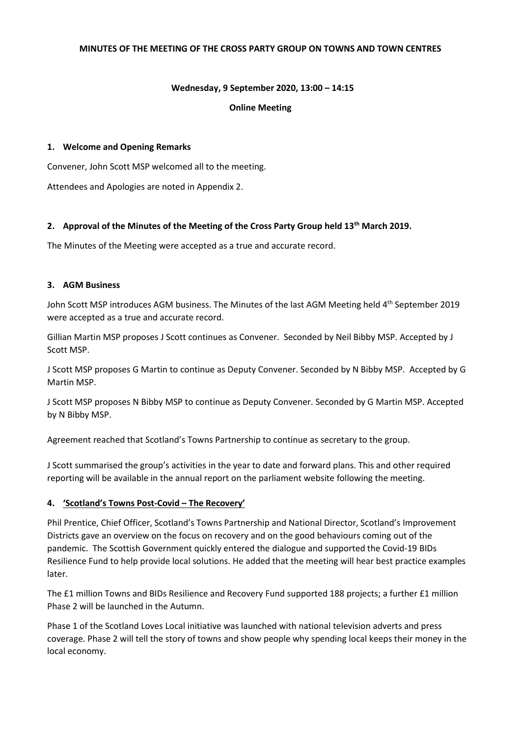#### **MINUTES OF THE MEETING OF THE CROSS PARTY GROUP ON TOWNS AND TOWN CENTRES**

### **Wednesday, 9 September 2020, 13:00 – 14:15**

#### **Online Meeting**

### **1. Welcome and Opening Remarks**

Convener, John Scott MSP welcomed all to the meeting.

Attendees and Apologies are noted in Appendix 2.

### **2. Approval of the Minutes of the Meeting of the Cross Party Group held 13th March 2019.**

The Minutes of the Meeting were accepted as a true and accurate record.

#### **3. AGM Business**

John Scott MSP introduces AGM business. The Minutes of the last AGM Meeting held 4<sup>th</sup> September 2019 were accepted as a true and accurate record.

Gillian Martin MSP proposes J Scott continues as Convener. Seconded by Neil Bibby MSP. Accepted by J Scott MSP.

J Scott MSP proposes G Martin to continue as Deputy Convener. Seconded by N Bibby MSP. Accepted by G Martin MSP.

J Scott MSP proposes N Bibby MSP to continue as Deputy Convener. Seconded by G Martin MSP. Accepted by N Bibby MSP.

Agreement reached that Scotland's Towns Partnership to continue as secretary to the group.

J Scott summarised the group's activities in the year to date and forward plans. This and other required reporting will be available in the annual report on the parliament website following the meeting.

### **4. 'Scotland's Towns Post-Covid – The Recovery'**

Phil Prentice, Chief Officer, Scotland's Towns Partnership and National Director, Scotland's Improvement Districts gave an overview on the focus on recovery and on the good behaviours coming out of the pandemic. The Scottish Government quickly entered the dialogue and supported the Covid-19 BIDs Resilience Fund to help provide local solutions. He added that the meeting will hear best practice examples later.

The £1 million Towns and BIDs Resilience and Recovery Fund supported 188 projects; a further £1 million Phase 2 will be launched in the Autumn.

Phase 1 of the Scotland Loves Local initiative was launched with national television adverts and press coverage. Phase 2 will tell the story of towns and show people why spending local keeps their money in the local economy.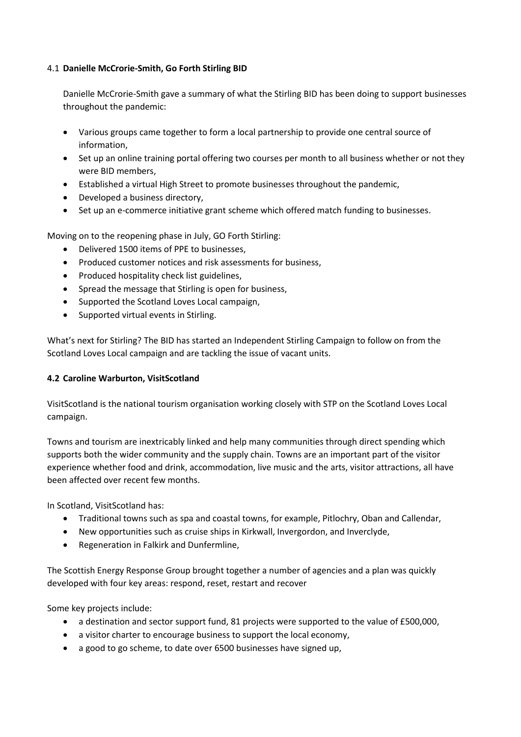### 4.1 **Danielle McCrorie-Smith, Go Forth Stirling BID**

Danielle McCrorie-Smith gave a summary of what the Stirling BID has been doing to support businesses throughout the pandemic:

- Various groups came together to form a local partnership to provide one central source of information,
- Set up an online training portal offering two courses per month to all business whether or not they were BID members,
- Established a virtual High Street to promote businesses throughout the pandemic,
- Developed a business directory,
- Set up an e-commerce initiative grant scheme which offered match funding to businesses.

Moving on to the reopening phase in July, GO Forth Stirling:

- Delivered 1500 items of PPE to businesses,
- Produced customer notices and risk assessments for business,
- Produced hospitality check list guidelines,
- Spread the message that Stirling is open for business,
- Supported the Scotland Loves Local campaign,
- Supported virtual events in Stirling.

What's next for Stirling? The BID has started an Independent Stirling Campaign to follow on from the Scotland Loves Local campaign and are tackling the issue of vacant units.

### **4.2 Caroline Warburton, VisitScotland**

VisitScotland is the national tourism organisation working closely with STP on the Scotland Loves Local campaign.

Towns and tourism are inextricably linked and help many communities through direct spending which supports both the wider community and the supply chain. Towns are an important part of the visitor experience whether food and drink, accommodation, live music and the arts, visitor attractions, all have been affected over recent few months.

In Scotland, VisitScotland has:

- Traditional towns such as spa and coastal towns, for example, Pitlochry, Oban and Callendar,
- New opportunities such as cruise ships in Kirkwall, Invergordon, and Inverclyde,
- Regeneration in Falkirk and Dunfermline,

The Scottish Energy Response Group brought together a number of agencies and a plan was quickly developed with four key areas: respond, reset, restart and recover

Some key projects include:

- a destination and sector support fund, 81 projects were supported to the value of £500,000,
- a visitor charter to encourage business to support the local economy,
- a good to go scheme, to date over 6500 businesses have signed up,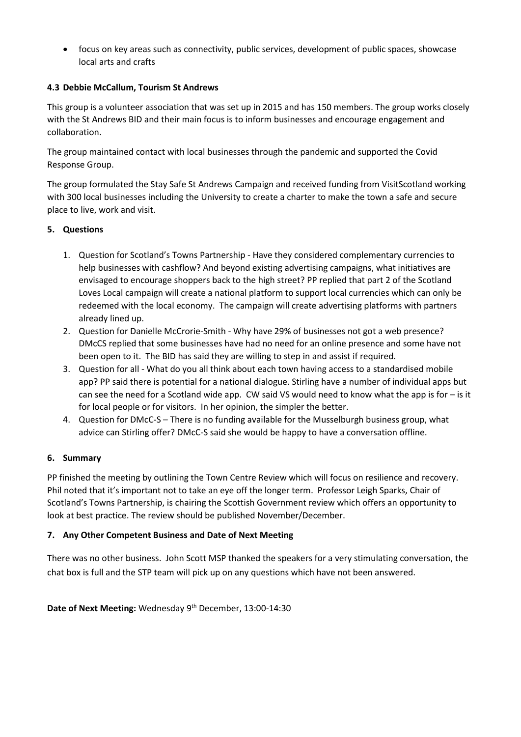• focus on key areas such as connectivity, public services, development of public spaces, showcase local arts and crafts

## **4.3 Debbie McCallum, Tourism St Andrews**

This group is a volunteer association that was set up in 2015 and has 150 members. The group works closely with the St Andrews BID and their main focus is to inform businesses and encourage engagement and collaboration.

The group maintained contact with local businesses through the pandemic and supported the Covid Response Group.

The group formulated the Stay Safe St Andrews Campaign and received funding from VisitScotland working with 300 local businesses including the University to create a charter to make the town a safe and secure place to live, work and visit.

## **5. Questions**

- 1. Question for Scotland's Towns Partnership Have they considered complementary currencies to help businesses with cashflow? And beyond existing advertising campaigns, what initiatives are envisaged to encourage shoppers back to the high street? PP replied that part 2 of the Scotland Loves Local campaign will create a national platform to support local currencies which can only be redeemed with the local economy. The campaign will create advertising platforms with partners already lined up.
- 2. Question for Danielle McCrorie-Smith Why have 29% of businesses not got a web presence? DMcCS replied that some businesses have had no need for an online presence and some have not been open to it. The BID has said they are willing to step in and assist if required.
- 3. Question for all What do you all think about each town having access to a standardised mobile app? PP said there is potential for a national dialogue. Stirling have a number of individual apps but can see the need for a Scotland wide app. CW said VS would need to know what the app is for – is it for local people or for visitors. In her opinion, the simpler the better.
- 4. Question for DMcC-S There is no funding available for the Musselburgh business group, what advice can Stirling offer? DMcC-S said she would be happy to have a conversation offline.

### **6. Summary**

PP finished the meeting by outlining the Town Centre Review which will focus on resilience and recovery. Phil noted that it's important not to take an eye off the longer term. Professor Leigh Sparks, Chair of Scotland's Towns Partnership, is chairing the Scottish Government review which offers an opportunity to look at best practice. The review should be published November/December.

## **7. Any Other Competent Business and Date of Next Meeting**

There was no other business. John Scott MSP thanked the speakers for a very stimulating conversation, the chat box is full and the STP team will pick up on any questions which have not been answered.

Date of Next Meeting: Wednesday 9<sup>th</sup> December, 13:00-14:30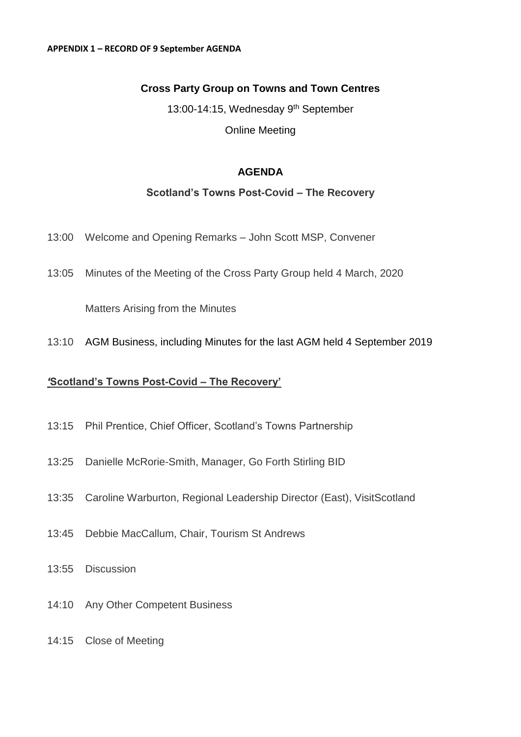# **Cross Party Group on Towns and Town Centres**

13:00-14:15, Wednesday 9<sup>th</sup> September Online Meeting

# **AGENDA**

## **Scotland's Towns Post-Covid – The Recovery**

- 13:00 Welcome and Opening Remarks John Scott MSP, Convener
- 13:05 Minutes of the Meeting of the Cross Party Group held 4 March, 2020

Matters Arising from the Minutes

13:10 AGM Business, including Minutes for the last AGM held 4 September 2019

# *'***Scotland's Towns Post-Covid – The Recovery'**

- 13:15 Phil Prentice, Chief Officer, Scotland's Towns Partnership
- 13:25 Danielle McRorie-Smith, Manager, Go Forth Stirling BID
- 13:35 Caroline Warburton, Regional Leadership Director (East), VisitScotland
- 13:45 Debbie MacCallum, Chair, Tourism St Andrews
- 13:55 Discussion
- 14:10 Any Other Competent Business
- 14:15 Close of Meeting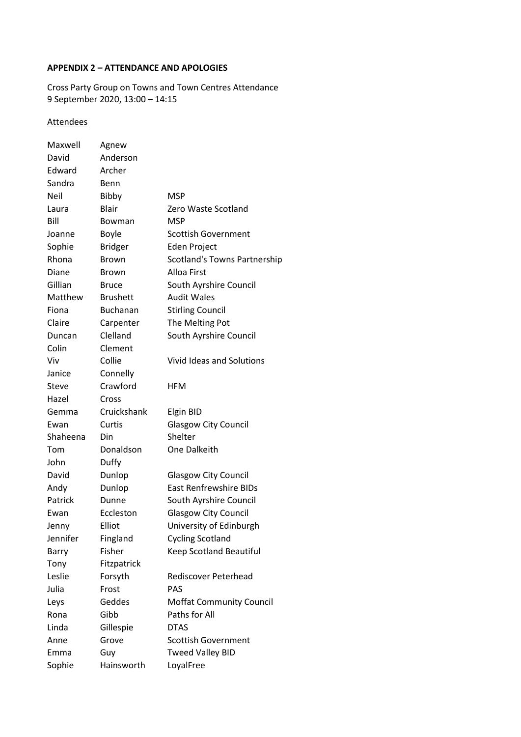## **APPENDIX 2 – ATTENDANCE AND APOLOGIES**

Cross Party Group on Towns and Town Centres Attendance 9 September 2020, 13:00 – 14:15

# **Attendees**

| Maxwell      | Agnew           |                                     |
|--------------|-----------------|-------------------------------------|
| David        | Anderson        |                                     |
| Edward       | Archer          |                                     |
| Sandra       | Benn            |                                     |
| Neil         | Bibby           | MSP                                 |
| Laura        | <b>Blair</b>    | Zero Waste Scotland                 |
| Bill         | Bowman          | <b>MSP</b>                          |
| Joanne       | <b>Boyle</b>    | <b>Scottish Government</b>          |
| Sophie       | <b>Bridger</b>  | Eden Project                        |
| Rhona        | <b>Brown</b>    | <b>Scotland's Towns Partnership</b> |
| Diane        | <b>Brown</b>    | Alloa First                         |
| Gillian      | Bruce           | South Ayrshire Council              |
| Matthew      | <b>Brushett</b> | <b>Audit Wales</b>                  |
| Fiona        | <b>Buchanan</b> | <b>Stirling Council</b>             |
| Claire       | Carpenter       | The Melting Pot                     |
| Duncan       | Clelland        | South Ayrshire Council              |
| Colin        | Clement         |                                     |
| Viv          | Collie          | Vivid Ideas and Solutions           |
| Janice       | Connelly        |                                     |
| <b>Steve</b> | Crawford        | <b>HFM</b>                          |
| Hazel        | Cross           |                                     |
|              |                 |                                     |
| Gemma        | Cruickshank     | Elgin BID                           |
| Ewan         | Curtis          | Glasgow City Council                |
| Shaheena     | Din             | Shelter                             |
| Tom          | Donaldson       | One Dalkeith                        |
| John         | Duffy           |                                     |
| David        | Dunlop          | <b>Glasgow City Council</b>         |
| Andy         | Dunlop          | <b>East Renfrewshire BIDs</b>       |
| Patrick      | Dunne           | South Ayrshire Council              |
| Ewan         | Eccleston       | <b>Glasgow City Council</b>         |
| Jenny        | Elliot          | University of Edinburgh             |
| Jennifer     | Fingland        | <b>Cycling Scotland</b>             |
| Barry        | Fisher          | <b>Keep Scotland Beautiful</b>      |
| Tony         | Fitzpatrick     |                                     |
| Leslie       | Forsyth         | Rediscover Peterhead                |
| Julia        | Frost           | PAS                                 |
| Leys         | Geddes          | <b>Moffat Community Council</b>     |
| Rona         | Gibb            | Paths for All                       |
| Linda        | Gillespie       | <b>DTAS</b>                         |
| Anne         | Grove           | <b>Scottish Government</b>          |
| Emma         | Guy             | <b>Tweed Valley BID</b>             |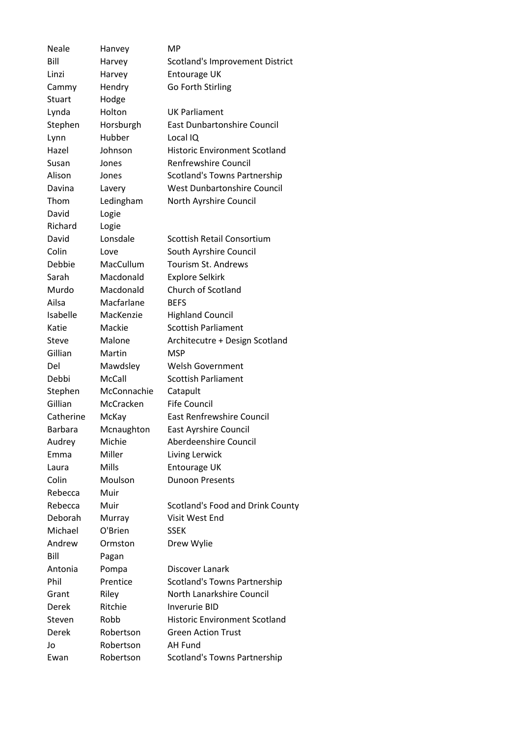| <b>Neale</b>   | Hanvey       | МP                                   |
|----------------|--------------|--------------------------------------|
| Bill           | Harvey       | Scotland's Improvement District      |
| Linzi          | Harvey       | Entourage UK                         |
| Cammy          | Hendry       | Go Forth Stirling                    |
| Stuart         | Hodge        |                                      |
| Lynda          | Holton       | <b>UK Parliament</b>                 |
| Stephen        | Horsburgh    | <b>East Dunbartonshire Council</b>   |
| Lynn           | Hubber       | Local IQ                             |
| Hazel          | Johnson      | <b>Historic Environment Scotland</b> |
| Susan          | Jones        | <b>Renfrewshire Council</b>          |
| Alison         | Jones        | <b>Scotland's Towns Partnership</b>  |
| Davina         | Lavery       | <b>West Dunbartonshire Council</b>   |
| Thom           | Ledingham    | North Ayrshire Council               |
| David          | Logie        |                                      |
| Richard        | Logie        |                                      |
| David          | Lonsdale     | <b>Scottish Retail Consortium</b>    |
| Colin          | Love         | South Ayrshire Council               |
| Debbie         | MacCullum    | <b>Tourism St. Andrews</b>           |
| Sarah          | Macdonald    | <b>Explore Selkirk</b>               |
| Murdo          | Macdonald    | <b>Church of Scotland</b>            |
| Ailsa          | Macfarlane   | <b>BEFS</b>                          |
| Isabelle       | MacKenzie    | <b>Highland Council</b>              |
| Katie          | Mackie       | <b>Scottish Parliament</b>           |
| <b>Steve</b>   | Malone       | Architecutre + Design Scotland       |
| Gillian        | Martin       | <b>MSP</b>                           |
| Del            | Mawdsley     | <b>Welsh Government</b>              |
| Debbi          | McCall       | <b>Scottish Parliament</b>           |
| Stephen        | McConnachie  | Catapult                             |
| Gillian        | McCracken    | <b>Fife Council</b>                  |
| Catherine      | McKay        | <b>East Renfrewshire Council</b>     |
| <b>Barbara</b> | Mcnaughton   | <b>East Ayrshire Council</b>         |
| Audrey         | Michie       | Aberdeenshire Council                |
| Emma           | Miller       | Living Lerwick                       |
| Laura          | <b>Mills</b> | Entourage UK                         |
| Colin          | Moulson      | <b>Dunoon Presents</b>               |
| Rebecca        | Muir         |                                      |
| Rebecca        | Muir         | Scotland's Food and Drink County     |
| <b>Deborah</b> | Murray       | Visit West End                       |
| Michael        | O'Brien      | <b>SSEK</b>                          |
| Andrew         | Ormston      | Drew Wylie                           |
| Bill           | Pagan        |                                      |
| Antonia        | Pompa        | Discover Lanark                      |
| Phil           | Prentice     | Scotland's Towns Partnership         |
| Grant          | Riley        | North Lanarkshire Council            |
| Derek          | Ritchie      | <b>Inverurie BID</b>                 |
| Steven         | Robb         | <b>Historic Environment Scotland</b> |
| Derek          | Robertson    | <b>Green Action Trust</b>            |
| Jo             | Robertson    | AH Fund                              |
| Ewan           | Robertson    | <b>Scotland's Towns Partnership</b>  |